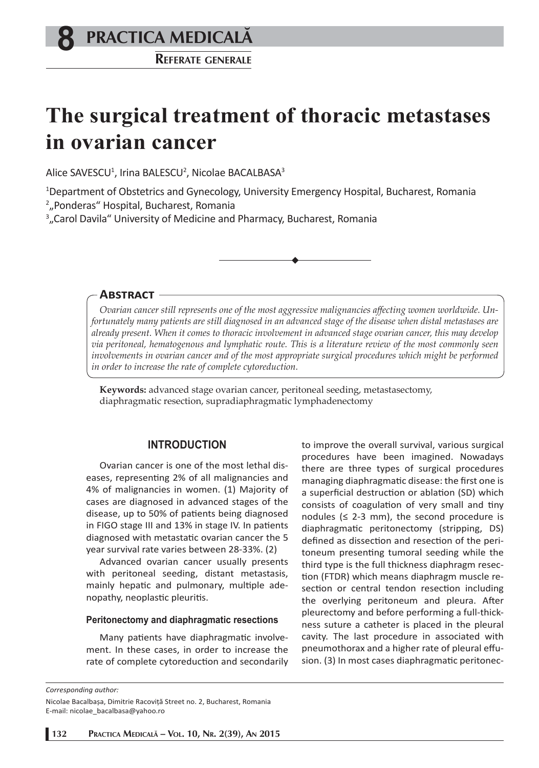**8 PRACTICA MEDICALÅ**

**REFERATE GENERALE**

# **The surgical treatment of thoracic metastases in ovarian cancer**

Alice SAVESCU<sup>1</sup>, Irina BALESCU<sup>2</sup>, Nicolae BACALBASA<sup>3</sup>

1 Department of Obstetrics and Gynecology, University Emergency Hospital, Bucharest, Romania 2 "Ponderas" Hospital, Bucharest, Romania

<sup>3</sup>"Carol Davila" University of Medicine and Pharmacy, Bucharest, Romania

#### **ABSTRACT**

Ovarian cancer still represents one of the most aggressive malignancies affecting women worldwide. Un*fortunately many patients are still diagnosed in an advanced stage of the disease when distal metastases are already present. When it comes to thoracic involvement in advanced stage ovarian cancer, this may develop via peritoneal, hematogenous and lymphatic route. This is a literature review of the most commonly seen involvements in ovarian cancer and of the most appropriate surgical procedures which might be performed in order to increase the rate of complete cytoreduction.*

**Keywords:** advanced stage ovarian cancer, peritoneal seeding, metastasectomy, diaphragmatic resection, supradiaphragmatic lymphadenectomy

## **INTRODUCTION**

Ovarian cancer is one of the most lethal diseases, representing 2% of all malignancies and 4% of malignancies in women. (1) Majority of cases are diagnosed in advanced stages of the disease, up to 50% of patients being diagnosed in FIGO stage III and 13% in stage IV. In patients diagnosed with metastatic ovarian cancer the 5 year survival rate varies between 28-33%. (2)

Advanced ovarian cancer usually presents with peritoneal seeding, distant metastasis, mainly hepatic and pulmonary, multiple adenopathy, neoplastic pleuritis.

#### **Peritonectomy and diaphragmatic resections**

Many patients have diaphragmatic involvement. In these cases, in order to increase the rate of complete cytoreduction and secondarily to improve the overall survival, various surgical procedures have been imagined. Nowadays there are three types of surgical procedures managing diaphragmatic disease: the first one is a superficial destruction or ablation (SD) which consists of coagulation of very small and tiny nodules ( $\leq$  2-3 mm), the second procedure is diaphragmatic peritonectomy (stripping, DS) defined as dissection and resection of the peritoneum presenting tumoral seeding while the third type is the full thickness diaphragm resection (FTDR) which means diaphragm muscle resection or central tendon resection including the overlying peritoneum and pleura. After pleurectomy and before performing a full-thickness suture a catheter is placed in the pleural cavity. The last procedure in associated with pneumothorax and a higher rate of pleural effusion. (3) In most cases diaphragmatic peritonec-

*Corresponding author:* 

Nicolae Bacalbasa, Dimitrie Racovită Street no. 2, Bucharest, Romania E-mail: nicolae\_bacalbasa@yahoo.ro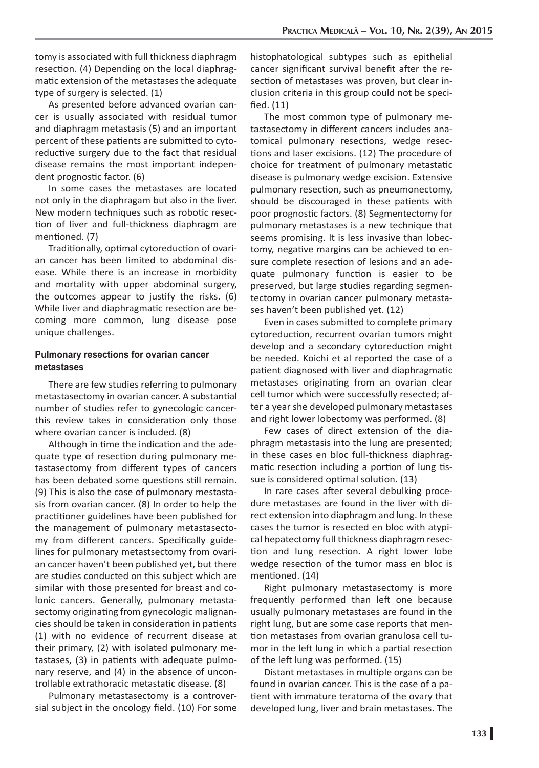tomy is associated with full thickness diaphragm resection. (4) Depending on the local diaphragmatic extension of the metastases the adequate type of surgery is selected. (1)

As presented before advanced ovarian cancer is usually associated with residual tumor and diaphragm metastasis (5) and an important percent of these patients are submitted to cytoreductive surgery due to the fact that residual disease remains the most important independent prognostic factor. (6)

In some cases the metastases are located not only in the diaphragam but also in the liver. New modern techniques such as robotic resection of liver and full-thickness diaphragm are mentioned. (7)

Traditionally, optimal cytoreduction of ovarian cancer has been limited to abdominal disease. While there is an increase in morbidity and mortality with upper abdominal surgery, the outcomes appear to justify the risks.  $(6)$ While liver and diaphragmatic resection are becoming more common, lung disease pose unique challenges.

# **Pulmonary resections for ovarian cancer metastases**

There are few studies referring to pulmonary metastasectomy in ovarian cancer. A substantial number of studies refer to gynecologic cancerthis review takes in consideration only those where ovarian cancer is included. (8)

Although in time the indication and the adequate type of resection during pulmonary metastasectomy from different types of cancers has been debated some questions still remain. (9) This is also the case of pulmonary mestastasis from ovarian cancer. (8) In order to help the practitioner guidelines have been published for the management of pulmonary metastasectomy from different cancers. Specifically guidelines for pulmonary metastsectomy from ovarian cancer haven't been published yet, but there are studies conducted on this subject which are similar with those presented for breast and colonic cancers. Generally, pulmonary metastasectomy originating from gynecologic malignancies should be taken in consideration in patients (1) with no evidence of recurrent disease at their primary, (2) with isolated pulmonary metastases,  $(3)$  in patients with adequate pulmonary reserve, and (4) in the absence of uncontrollable extrathoracic metastatic disease. (8)

Pulmonary metastasectomy is a controversial subject in the oncology field. (10) For some

histophatological subtypes such as epithelial cancer significant survival benefit after the resection of metastases was proven, but clear inclusion criteria in this group could not be specified.  $(11)$ 

The most common type of pulmonary metastasectomy in different cancers includes anatomical pulmonary resections, wedge resections and laser excisions. (12) The procedure of choice for treatment of pulmonary metastatic disease is pulmonary wedge excision. Extensive pulmonary resection, such as pneumonectomy, should be discouraged in these patients with poor prognostic factors. (8) Segmentectomy for pulmonary metastases is a new technique that seems promising. It is less invasive than lobectomy, negative margins can be achieved to ensure complete resection of lesions and an adequate pulmonary function is easier to be preserved, but large studies regarding segmentectomy in ovarian cancer pulmonary metastases haven't been published yet. (12)

Even in cases submitted to complete primary cytoreduction, recurrent ovarian tumors might develop and a secondary cytoreduction might be needed. Koichi et al reported the case of a patient diagnosed with liver and diaphragmatic metastases originating from an ovarian clear cell tumor which were successfully resected; after a year she developed pulmonary metastases and right lower lobectomy was performed. (8)

Few cases of direct extension of the diaphragm metastasis into the lung are presented; in these cases en bloc full-thickness diaphragmatic resection including a portion of lung tissue is considered optimal solution. (13)

In rare cases after several debulking procedure metastases are found in the liver with direct extension into diaphragm and lung. In these cases the tumor is resected en bloc with atypical hepatectomy full thickness diaphragm resection and lung resection. A right lower lobe wedge resection of the tumor mass en bloc is mentioned. (14)

Right pulmonary metastasectomy is more frequently performed than left one because usually pulmonary metastases are found in the right lung, but are some case reports that mention metastases from ovarian granulosa cell tumor in the left lung in which a partial resection of the left lung was performed. (15)

Distant metastases in multiple organs can be found in ovarian cancer. This is the case of a patient with immature teratoma of the ovary that developed lung, liver and brain metastases. The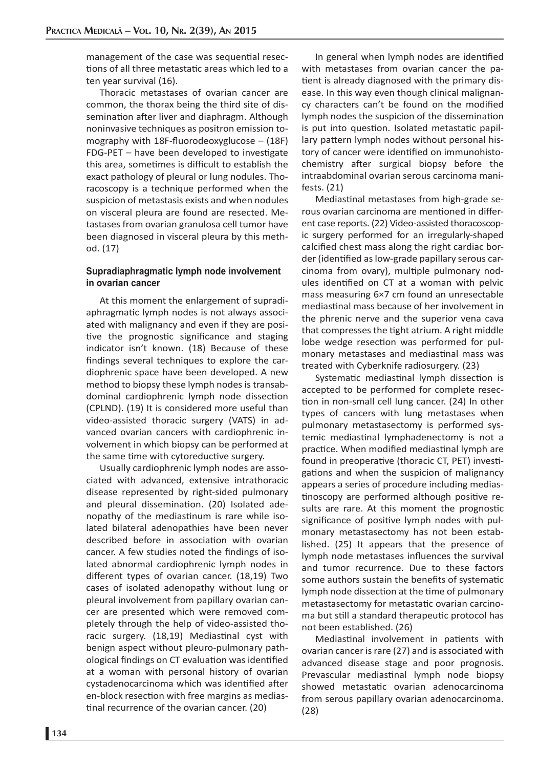management of the case was sequential resections of all three metastatic areas which led to a ten year survival (16).

Thoracic metastases of ovarian cancer are common, the thorax being the third site of dissemination after liver and diaphragm. Although noninvasive techniques as positron emission tomography with 18F-fluorodeoxyglucose  $-$  (18F)  $FDG-PET - have been developed to investigate$ this area, sometimes is difficult to establish the exact pathology of pleural or lung nodules. Thoracoscopy is a technique performed when the suspicion of metastasis exists and when nodules on visceral pleura are found are resected. Metastases from ovarian granulosa cell tumor have been diagnosed in visceral pleura by this method. (17)

# **Supradiaphragmatic lymph node involvement in ovarian cancer**

At this moment the enlargement of supradiaphragmatic lymph nodes is not always associated with malignancy and even if they are positive the prognostic significance and staging indicator isn't known. (18) Because of these findings several techniques to explore the cardiophrenic space have been developed. A new method to biopsy these lymph nodes is transabdominal cardiophrenic lymph node dissection (CPLND). (19) It is considered more useful than video-assisted thoracic surgery (VATS) in advanced ovarian cancers with cardiophrenic involvement in which biopsy can be performed at the same time with cytoreductive surgery.

Usually cardiophrenic lymph nodes are associated with advanced, extensive intrathoracic disease represented by right-sided pulmonary and pleural dissemination. (20) Isolated adenopathy of the mediastinum is rare while isolated bilateral adenopathies have been never described before in association with ovarian cancer. A few studies noted the findings of isolated abnormal cardiophrenic lymph nodes in different types of ovarian cancer. (18,19) Two cases of isolated adenopathy without lung or pleural involvement from papillary ovarian cancer are presented which were removed completely through the help of video-assisted thoracic surgery. (18,19) Mediastinal cyst with benign aspect without pleuro-pulmonary pathological findings on CT evaluation was identified at a woman with personal history of ovarian cystadenocarcinoma which was identified after en-block resection with free margins as mediastinal recurrence of the ovarian cancer. (20)

In general when lymph nodes are identified with metastases from ovarian cancer the patient is already diagnosed with the primary disease. In this way even though clinical malignancy characters can't be found on the modified lymph nodes the suspicion of the dissemination is put into question. Isolated metastatic papillary pattern lymph nodes without personal history of cancer were identified on immunohistochemistry after surgical biopsy before the intraabdominal ovarian serous carcinoma manifests. (21)

Mediastinal metastases from high-grade serous ovarian carcinoma are mentioned in different case reports. (22) Video-assisted thoracoscopic surgery performed for an irregularly-shaped calcified chest mass along the right cardiac border (identified as low-grade papillary serous carcinoma from ovary), multiple pulmonary nodules identified on CT at a woman with pelvic mass measuring 6×7 cm found an unresectable mediastinal mass because of her involvement in the phrenic nerve and the superior vena cava that compresses the tight atrium. A right middle lobe wedge resection was performed for pulmonary metastases and mediastinal mass was treated with Cyberknife radiosurgery. (23)

Systematic mediastinal lymph dissection is accepted to be performed for complete resection in non-small cell lung cancer. (24) In other types of cancers with lung metastases when pulmonary metastasectomy is performed systemic mediastinal lymphadenectomy is not a practice. When modified mediastinal lymph are found in preoperative (thoracic CT, PET) investigations and when the suspicion of malignancy appears a series of procedure including mediastinoscopy are performed although positive results are rare. At this moment the prognostic significance of positive lymph nodes with pulmonary metastasectomy has not been established. (25) It appears that the presence of lymph node metastases influences the survival and tumor recurrence. Due to these factors some authors sustain the benefits of systematic lymph node dissection at the time of pulmonary metastasectomy for metastatic ovarian carcinoma but still a standard therapeutic protocol has not been established. (26)

Mediastinal involvement in patients with ovarian cancer is rare (27) and is associated with advanced disease stage and poor prognosis. Prevascular mediastinal lymph node biopsy showed metastatic ovarian adenocarcinoma from serous papillary ovarian adenocarcinoma. (28)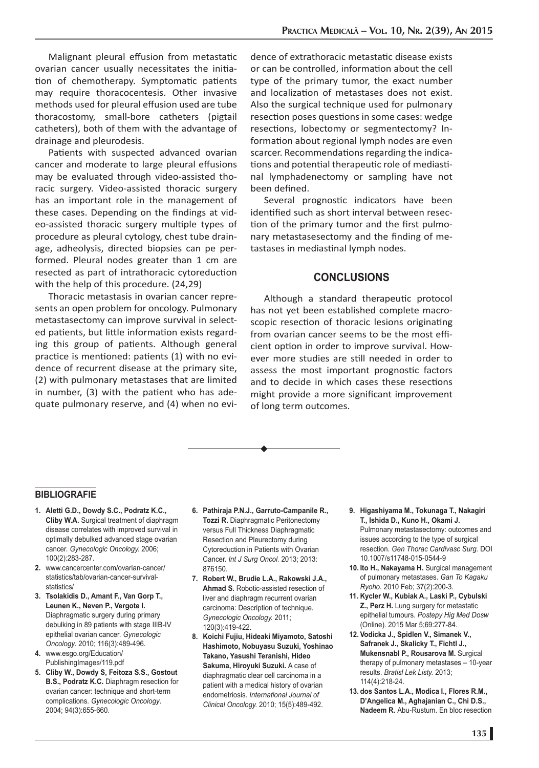Malignant pleural effusion from metastatic ovarian cancer usually necessitates the initiation of chemotherapy. Symptomatic patients may require thoracocentesis. Other invasive methods used for pleural effusion used are tube thoracostomy, small-bore catheters (pigtail catheters), both of them with the advantage of drainage and pleurodesis.

Patients with suspected advanced ovarian cancer and moderate to large pleural effusions may be evaluated through video-assisted thoracic surgery. Video-assisted thoracic surgery has an important role in the management of these cases. Depending on the findings at video-assisted thoracic surgery multiple types of procedure as pleural cytology, chest tube drainage, adheolysis, directed biopsies can pe performed. Pleural nodes greater than 1 cm are resected as part of intrathoracic cytoreduction with the help of this procedure. (24,29)

Thoracic metastasis in ovarian cancer represents an open problem for oncology. Pulmonary metastasectomy can improve survival in selected patients, but little information exists regarding this group of patients. Although general practice is mentioned: patients (1) with no evidence of recurrent disease at the primary site, (2) with pulmonary metastases that are limited in number, (3) with the patient who has adequate pulmonary reserve, and (4) when no evidence of extrathoracic metastatic disease exists or can be controlled, information about the cell type of the primary tumor, the exact number and localization of metastases does not exist. Also the surgical technique used for pulmonary resection poses questions in some cases: wedge resections, lobectomy or segmentectomy? Information about regional lymph nodes are even scarcer. Recommendations regarding the indications and potential therapeutic role of mediastinal lymphadenectomy or sampling have not been defined.

Several prognostic indicators have been identified such as short interval between resection of the primary tumor and the first pulmonary metastasesectomy and the finding of metastases in mediastinal lymph nodes.

#### **CONCLUSIONS**

Although a standard therapeutic protocol has not yet been established complete macroscopic resection of thoracic lesions originating from ovarian cancer seems to be the most efficient option in order to improve survival. However more studies are still needed in order to assess the most important prognostic factors and to decide in which cases these resections might provide a more significant improvement of long term outcomes.

#### **BIBLIOGRAFIE**

- **1. Aletti G.D., Dowdy S.C., Podratz K.C., Cliby W.A.** Surgical treatment of diaphragm disease correlates with improved survival in optimally debulked advanced stage ovarian cancer. *Gynecologic Oncology.* 2006; 100(2):283-287.
- **2.** www.cancercenter.com/ovarian-cancer/ statistics/tab/ovarian-cancer-survivalstatistics/
- **3. Tsolakidis D., Amant F., Van Gorp T., Leunen K., Neven P., Vergote I.**  Diaphragmatic surgery during primary debulking in 89 patients with stage IIIB-IV epithelial ovarian cancer. *Gynecologic Oncology*. 2010; 116(3):489-496.
- **4.** www.esgo.org/Education/ PublishingImages/119.pdf
- **5. Cliby W., Dowdy S, Feitoza S.S., Gostout B.S., Podratz K.C.** Diaphragm resection for ovarian cancer: technique and short-term complications. *Gynecologic Oncology*. 2004; 94(3):655-660.
- **6. Pathiraja P.N.J., Garruto-Campanile R., Tozzi R.** Diaphragmatic Peritonectomy versus Full Thickness Diaphragmatic Resection and Pleurectomy during Cytoreduction in Patients with Ovarian Cancer. *Int J Surg Oncol.* 2013; 2013: 876150.
- **7. Robert W., Brudie L.A., Rakowski J.A., Ahmad S.** Robotic-assisted resection of liver and diaphragm recurrent ovarian carcinoma: Description of technique. *Gynecologic Oncology.* 2011; 120(3):419-422.
- **8. Koichi Fujiu, Hideaki Miyamoto, Satoshi Hashimoto, Nobuyasu Suzuki, Yoshinao Takano, Yasushi Teranishi, Hideo Sakuma, Hiroyuki Suzuki.** A case of diaphragmatic clear cell carcinoma in a patient with a medical history of ovarian endometriosis. *International Journal of Clinical Oncology.* 2010; 15(5):489-492.
- **9. Higashiyama M., Tokunaga T., Nakagiri T., Ishida D., Kuno H., Okami J.**  Pulmonary metastasectomy: outcomes and issues according to the type of surgical resection. *Gen Thorac Cardivasc Surg.* DOI 10.1007/s11748-015-0544-9
- **10. Ito H., Nakayama H.** Surgical management of pulmonary metastases. *Gan To Kagaku Ryoho.* 2010 Feb; 37(2):200-3.
- **11. Kycler W., Kubiak A., Laski P., Cybulski Z., Perz H.** Lung surgery for metastatic epithelial tumours. *Postepy Hig Med Dosw* (Online). 2015 Mar 5;69:277-84.
- **12. Vodicka J., Spidlen V., Simanek V., Safranek J., Skalicky T., Fichtl J., Mukensnabl P., Rousarova M.** Surgical therapy of pulmonary metastases – 10-year results. *Bratisl Lek Listy.* 2013; 114(4):218-24.
- **13. dos Santos L.A., Modica I., Flores R.M., D'Angelica M., Aghajanian C., Chi D.S., Nadeem R.** Abu-Rustum. En bloc resection